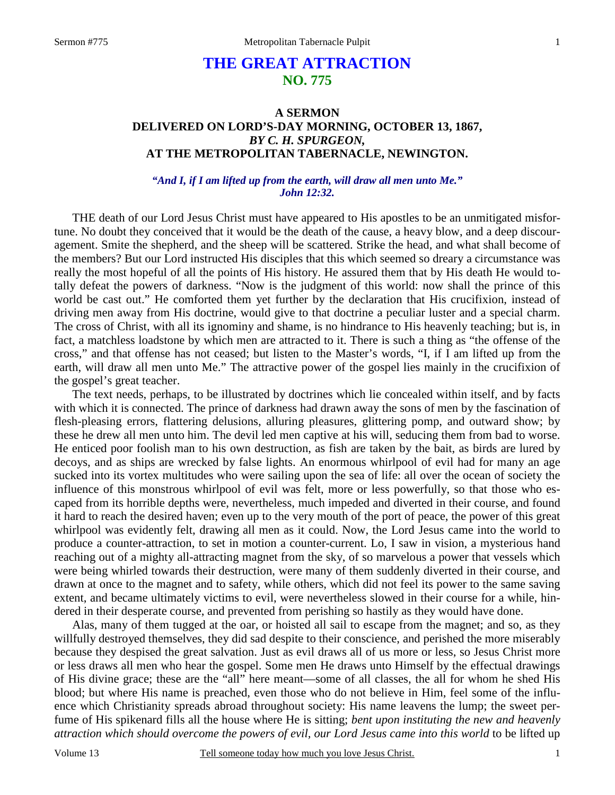# **THE GREAT ATTRACTION NO. 775**

### **A SERMON DELIVERED ON LORD'S-DAY MORNING, OCTOBER 13, 1867,**  *BY C. H. SPURGEON,*  **AT THE METROPOLITAN TABERNACLE, NEWINGTON.**

#### *"And I, if I am lifted up from the earth, will draw all men unto Me." John 12:32.*

THE death of our Lord Jesus Christ must have appeared to His apostles to be an unmitigated misfortune. No doubt they conceived that it would be the death of the cause, a heavy blow, and a deep discouragement. Smite the shepherd, and the sheep will be scattered. Strike the head, and what shall become of the members? But our Lord instructed His disciples that this which seemed so dreary a circumstance was really the most hopeful of all the points of His history. He assured them that by His death He would totally defeat the powers of darkness. "Now is the judgment of this world: now shall the prince of this world be cast out." He comforted them yet further by the declaration that His crucifixion, instead of driving men away from His doctrine, would give to that doctrine a peculiar luster and a special charm. The cross of Christ, with all its ignominy and shame, is no hindrance to His heavenly teaching; but is, in fact, a matchless loadstone by which men are attracted to it. There is such a thing as "the offense of the cross," and that offense has not ceased; but listen to the Master's words, "I, if I am lifted up from the earth, will draw all men unto Me." The attractive power of the gospel lies mainly in the crucifixion of the gospel's great teacher.

 The text needs, perhaps, to be illustrated by doctrines which lie concealed within itself, and by facts with which it is connected. The prince of darkness had drawn away the sons of men by the fascination of flesh-pleasing errors, flattering delusions, alluring pleasures, glittering pomp, and outward show; by these he drew all men unto him. The devil led men captive at his will, seducing them from bad to worse. He enticed poor foolish man to his own destruction, as fish are taken by the bait, as birds are lured by decoys, and as ships are wrecked by false lights. An enormous whirlpool of evil had for many an age sucked into its vortex multitudes who were sailing upon the sea of life: all over the ocean of society the influence of this monstrous whirlpool of evil was felt, more or less powerfully, so that those who escaped from its horrible depths were, nevertheless, much impeded and diverted in their course, and found it hard to reach the desired haven; even up to the very mouth of the port of peace, the power of this great whirlpool was evidently felt, drawing all men as it could. Now, the Lord Jesus came into the world to produce a counter-attraction, to set in motion a counter-current. Lo, I saw in vision, a mysterious hand reaching out of a mighty all-attracting magnet from the sky, of so marvelous a power that vessels which were being whirled towards their destruction, were many of them suddenly diverted in their course, and drawn at once to the magnet and to safety, while others, which did not feel its power to the same saving extent, and became ultimately victims to evil, were nevertheless slowed in their course for a while, hindered in their desperate course, and prevented from perishing so hastily as they would have done.

 Alas, many of them tugged at the oar, or hoisted all sail to escape from the magnet; and so, as they willfully destroyed themselves, they did sad despite to their conscience, and perished the more miserably because they despised the great salvation. Just as evil draws all of us more or less, so Jesus Christ more or less draws all men who hear the gospel. Some men He draws unto Himself by the effectual drawings of His divine grace; these are the "all" here meant—some of all classes, the all for whom he shed His blood; but where His name is preached, even those who do not believe in Him, feel some of the influence which Christianity spreads abroad throughout society: His name leavens the lump; the sweet perfume of His spikenard fills all the house where He is sitting; *bent upon instituting the new and heavenly attraction which should overcome the powers of evil, our Lord Jesus came into this world* to be lifted up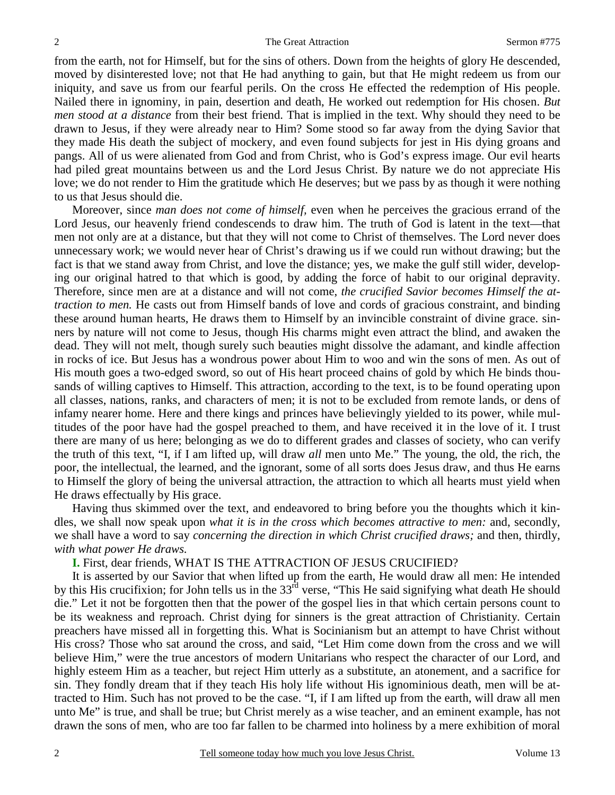from the earth, not for Himself, but for the sins of others. Down from the heights of glory He descended, moved by disinterested love; not that He had anything to gain, but that He might redeem us from our iniquity, and save us from our fearful perils. On the cross He effected the redemption of His people. Nailed there in ignominy, in pain, desertion and death, He worked out redemption for His chosen. *But men stood at a distance* from their best friend. That is implied in the text. Why should they need to be drawn to Jesus, if they were already near to Him? Some stood so far away from the dying Savior that they made His death the subject of mockery, and even found subjects for jest in His dying groans and pangs. All of us were alienated from God and from Christ, who is God's express image. Our evil hearts had piled great mountains between us and the Lord Jesus Christ. By nature we do not appreciate His love; we do not render to Him the gratitude which He deserves; but we pass by as though it were nothing to us that Jesus should die.

 Moreover, since *man does not come of himself,* even when he perceives the gracious errand of the Lord Jesus, our heavenly friend condescends to draw him. The truth of God is latent in the text—that men not only are at a distance, but that they will not come to Christ of themselves. The Lord never does unnecessary work; we would never hear of Christ's drawing us if we could run without drawing; but the fact is that we stand away from Christ, and love the distance; yes, we make the gulf still wider, developing our original hatred to that which is good, by adding the force of habit to our original depravity. Therefore, since men are at a distance and will not come, *the crucified Savior becomes Himself the attraction to men.* He casts out from Himself bands of love and cords of gracious constraint, and binding these around human hearts, He draws them to Himself by an invincible constraint of divine grace. sinners by nature will not come to Jesus, though His charms might even attract the blind, and awaken the dead. They will not melt, though surely such beauties might dissolve the adamant, and kindle affection in rocks of ice. But Jesus has a wondrous power about Him to woo and win the sons of men. As out of His mouth goes a two-edged sword, so out of His heart proceed chains of gold by which He binds thousands of willing captives to Himself. This attraction, according to the text, is to be found operating upon all classes, nations, ranks, and characters of men; it is not to be excluded from remote lands, or dens of infamy nearer home. Here and there kings and princes have believingly yielded to its power, while multitudes of the poor have had the gospel preached to them, and have received it in the love of it. I trust there are many of us here; belonging as we do to different grades and classes of society, who can verify the truth of this text, "I, if I am lifted up, will draw *all* men unto Me." The young, the old, the rich, the poor, the intellectual, the learned, and the ignorant, some of all sorts does Jesus draw, and thus He earns to Himself the glory of being the universal attraction, the attraction to which all hearts must yield when He draws effectually by His grace.

 Having thus skimmed over the text, and endeavored to bring before you the thoughts which it kindles, we shall now speak upon *what it is in the cross which becomes attractive to men:* and, secondly, we shall have a word to say *concerning the direction in which Christ crucified draws;* and then, thirdly, *with what power He draws.*

**I.** First, dear friends, WHAT IS THE ATTRACTION OF JESUS CRUCIFIED?

 It is asserted by our Savior that when lifted up from the earth, He would draw all men: He intended by this His crucifixion; for John tells us in the 33<sup>rd</sup> verse, "This He said signifying what death He should die." Let it not be forgotten then that the power of the gospel lies in that which certain persons count to be its weakness and reproach. Christ dying for sinners is the great attraction of Christianity. Certain preachers have missed all in forgetting this. What is Socinianism but an attempt to have Christ without His cross? Those who sat around the cross, and said, "Let Him come down from the cross and we will believe Him," were the true ancestors of modern Unitarians who respect the character of our Lord, and highly esteem Him as a teacher, but reject Him utterly as a substitute, an atonement, and a sacrifice for sin. They fondly dream that if they teach His holy life without His ignominious death, men will be attracted to Him. Such has not proved to be the case. "I, if I am lifted up from the earth, will draw all men unto Me" is true, and shall be true; but Christ merely as a wise teacher, and an eminent example, has not drawn the sons of men, who are too far fallen to be charmed into holiness by a mere exhibition of moral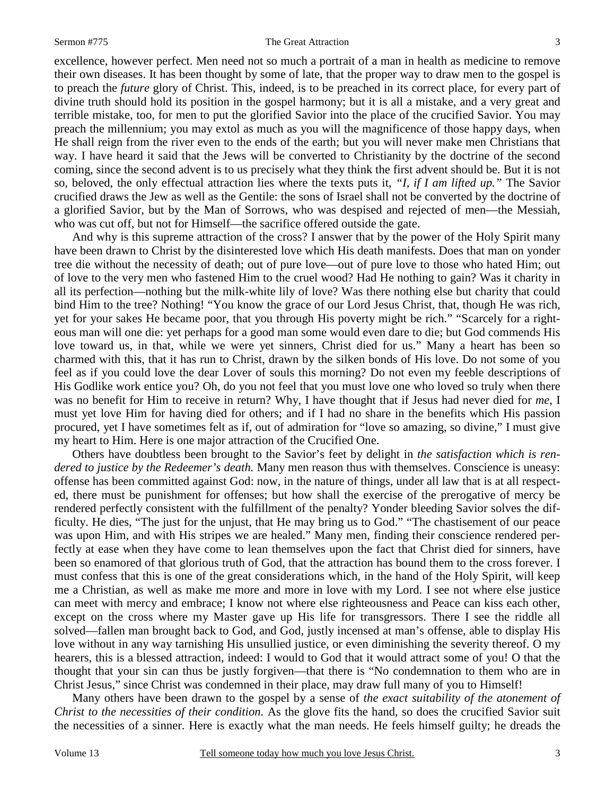#### Sermon #775 The Great Attraction

excellence, however perfect. Men need not so much a portrait of a man in health as medicine to remove their own diseases. It has been thought by some of late, that the proper way to draw men to the gospel is to preach the *future* glory of Christ. This, indeed, is to be preached in its correct place, for every part of divine truth should hold its position in the gospel harmony; but it is all a mistake, and a very great and terrible mistake, too, for men to put the glorified Savior into the place of the crucified Savior. You may preach the millennium; you may extol as much as you will the magnificence of those happy days, when He shall reign from the river even to the ends of the earth; but you will never make men Christians that way. I have heard it said that the Jews will be converted to Christianity by the doctrine of the second coming, since the second advent is to us precisely what they think the first advent should be. But it is not so, beloved, the only effectual attraction lies where the texts puts it, *"I, if I am lifted up."* The Savior crucified draws the Jew as well as the Gentile: the sons of Israel shall not be converted by the doctrine of a glorified Savior, but by the Man of Sorrows, who was despised and rejected of men—the Messiah, who was cut off, but not for Himself—the sacrifice offered outside the gate.

 And why is this supreme attraction of the cross? I answer that by the power of the Holy Spirit many have been drawn to Christ by the disinterested love which His death manifests. Does that man on yonder tree die without the necessity of death; out of pure love—out of pure love to those who hated Him; out of love to the very men who fastened Him to the cruel wood? Had He nothing to gain? Was it charity in all its perfection—nothing but the milk-white lily of love? Was there nothing else but charity that could bind Him to the tree? Nothing! "You know the grace of our Lord Jesus Christ, that, though He was rich, yet for your sakes He became poor, that you through His poverty might be rich." "Scarcely for a righteous man will one die: yet perhaps for a good man some would even dare to die; but God commends His love toward us, in that, while we were yet sinners, Christ died for us." Many a heart has been so charmed with this, that it has run to Christ, drawn by the silken bonds of His love. Do not some of you feel as if you could love the dear Lover of souls this morning? Do not even my feeble descriptions of His Godlike work entice you? Oh, do you not feel that you must love one who loved so truly when there was no benefit for Him to receive in return? Why, I have thought that if Jesus had never died for *me*, I must yet love Him for having died for others; and if I had no share in the benefits which His passion procured, yet I have sometimes felt as if, out of admiration for "love so amazing, so divine," I must give my heart to Him. Here is one major attraction of the Crucified One.

 Others have doubtless been brought to the Savior's feet by delight in *the satisfaction which is rendered to justice by the Redeemer's death.* Many men reason thus with themselves. Conscience is uneasy: offense has been committed against God: now, in the nature of things, under all law that is at all respected, there must be punishment for offenses; but how shall the exercise of the prerogative of mercy be rendered perfectly consistent with the fulfillment of the penalty? Yonder bleeding Savior solves the difficulty. He dies, "The just for the unjust, that He may bring us to God." "The chastisement of our peace was upon Him, and with His stripes we are healed." Many men, finding their conscience rendered perfectly at ease when they have come to lean themselves upon the fact that Christ died for sinners, have been so enamored of that glorious truth of God, that the attraction has bound them to the cross forever. I must confess that this is one of the great considerations which, in the hand of the Holy Spirit, will keep me a Christian, as well as make me more and more in love with my Lord. I see not where else justice can meet with mercy and embrace; I know not where else righteousness and Peace can kiss each other, except on the cross where my Master gave up His life for transgressors. There I see the riddle all solved—fallen man brought back to God, and God, justly incensed at man's offense, able to display His love without in any way tarnishing His unsullied justice, or even diminishing the severity thereof. O my hearers, this is a blessed attraction, indeed: I would to God that it would attract some of you! O that the thought that your sin can thus be justly forgiven—that there is "No condemnation to them who are in Christ Jesus," since Christ was condemned in their place, may draw full many of you to Himself!

 Many others have been drawn to the gospel by a sense of *the exact suitability of the atonement of Christ to the necessities of their condition.* As the glove fits the hand, so does the crucified Savior suit the necessities of a sinner. Here is exactly what the man needs. He feels himself guilty; he dreads the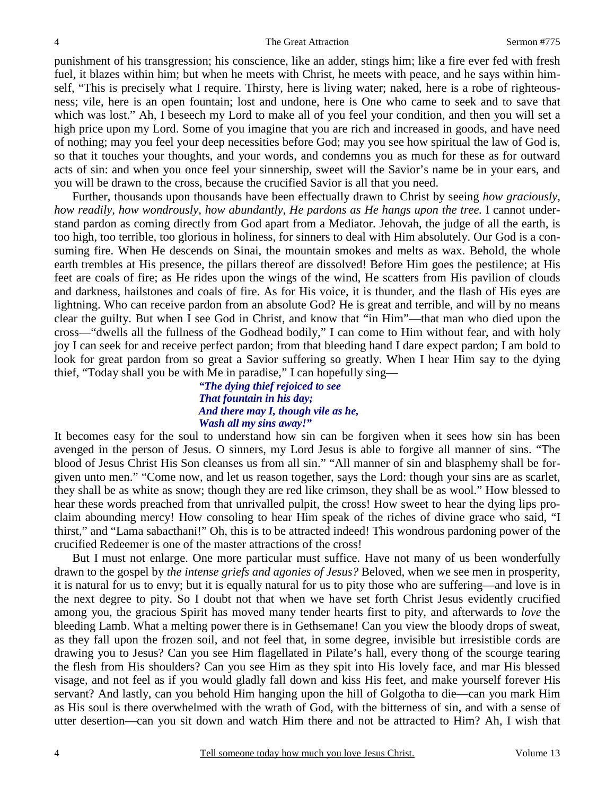punishment of his transgression; his conscience, like an adder, stings him; like a fire ever fed with fresh fuel, it blazes within him; but when he meets with Christ, he meets with peace, and he says within himself, "This is precisely what I require. Thirsty, here is living water; naked, here is a robe of righteousness; vile, here is an open fountain; lost and undone, here is One who came to seek and to save that which was lost." Ah, I beseech my Lord to make all of you feel your condition, and then you will set a high price upon my Lord. Some of you imagine that you are rich and increased in goods, and have need of nothing; may you feel your deep necessities before God; may you see how spiritual the law of God is, so that it touches your thoughts, and your words, and condemns you as much for these as for outward acts of sin: and when you once feel your sinnership, sweet will the Savior's name be in your ears, and you will be drawn to the cross, because the crucified Savior is all that you need.

 Further, thousands upon thousands have been effectually drawn to Christ by seeing *how graciously, how readily, how wondrously, how abundantly, He pardons as He hangs upon the tree.* I cannot understand pardon as coming directly from God apart from a Mediator. Jehovah, the judge of all the earth, is too high, too terrible, too glorious in holiness, for sinners to deal with Him absolutely. Our God is a consuming fire. When He descends on Sinai, the mountain smokes and melts as wax. Behold, the whole earth trembles at His presence, the pillars thereof are dissolved! Before Him goes the pestilence; at His feet are coals of fire; as He rides upon the wings of the wind, He scatters from His pavilion of clouds and darkness, hailstones and coals of fire. As for His voice, it is thunder, and the flash of His eyes are lightning. Who can receive pardon from an absolute God? He is great and terrible, and will by no means clear the guilty. But when I see God in Christ, and know that "in Him"—that man who died upon the cross—"dwells all the fullness of the Godhead bodily," I can come to Him without fear, and with holy joy I can seek for and receive perfect pardon; from that bleeding hand I dare expect pardon; I am bold to look for great pardon from so great a Savior suffering so greatly. When I hear Him say to the dying thief, "Today shall you be with Me in paradise," I can hopefully sing—

### *"The dying thief rejoiced to see That fountain in his day; And there may I, though vile as he, Wash all my sins away!"*

It becomes easy for the soul to understand how sin can be forgiven when it sees how sin has been avenged in the person of Jesus. O sinners, my Lord Jesus is able to forgive all manner of sins. "The blood of Jesus Christ His Son cleanses us from all sin." "All manner of sin and blasphemy shall be forgiven unto men." "Come now, and let us reason together, says the Lord: though your sins are as scarlet, they shall be as white as snow; though they are red like crimson, they shall be as wool." How blessed to hear these words preached from that unrivalled pulpit, the cross! How sweet to hear the dying lips proclaim abounding mercy! How consoling to hear Him speak of the riches of divine grace who said, "I thirst," and "Lama sabacthani!" Oh, this is to be attracted indeed! This wondrous pardoning power of the crucified Redeemer is one of the master attractions of the cross!

 But I must not enlarge. One more particular must suffice. Have not many of us been wonderfully drawn to the gospel by *the intense griefs and agonies of Jesus?* Beloved, when we see men in prosperity, it is natural for us to envy; but it is equally natural for us to pity those who are suffering—and love is in the next degree to pity. So I doubt not that when we have set forth Christ Jesus evidently crucified among you, the gracious Spirit has moved many tender hearts first to pity, and afterwards to *love* the bleeding Lamb. What a melting power there is in Gethsemane! Can you view the bloody drops of sweat, as they fall upon the frozen soil, and not feel that, in some degree, invisible but irresistible cords are drawing you to Jesus? Can you see Him flagellated in Pilate's hall, every thong of the scourge tearing the flesh from His shoulders? Can you see Him as they spit into His lovely face, and mar His blessed visage, and not feel as if you would gladly fall down and kiss His feet, and make yourself forever His servant? And lastly, can you behold Him hanging upon the hill of Golgotha to die—can you mark Him as His soul is there overwhelmed with the wrath of God, with the bitterness of sin, and with a sense of utter desertion—can you sit down and watch Him there and not be attracted to Him? Ah, I wish that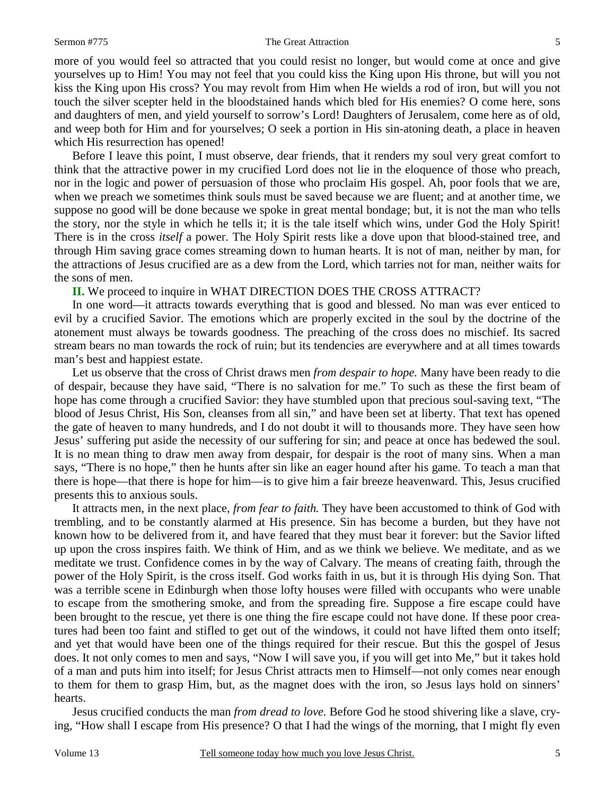#### Sermon #775 The Great Attraction

more of you would feel so attracted that you could resist no longer, but would come at once and give yourselves up to Him! You may not feel that you could kiss the King upon His throne, but will you not kiss the King upon His cross? You may revolt from Him when He wields a rod of iron, but will you not touch the silver scepter held in the bloodstained hands which bled for His enemies? O come here, sons and daughters of men, and yield yourself to sorrow's Lord! Daughters of Jerusalem, come here as of old, and weep both for Him and for yourselves; O seek a portion in His sin-atoning death, a place in heaven which His resurrection has opened!

 Before I leave this point, I must observe, dear friends, that it renders my soul very great comfort to think that the attractive power in my crucified Lord does not lie in the eloquence of those who preach, nor in the logic and power of persuasion of those who proclaim His gospel. Ah, poor fools that we are, when we preach we sometimes think souls must be saved because we are fluent; and at another time, we suppose no good will be done because we spoke in great mental bondage; but, it is not the man who tells the story, nor the style in which he tells it; it is the tale itself which wins, under God the Holy Spirit! There is in the cross *itself* a power. The Holy Spirit rests like a dove upon that blood-stained tree, and through Him saving grace comes streaming down to human hearts. It is not of man, neither by man, for the attractions of Jesus crucified are as a dew from the Lord, which tarries not for man, neither waits for the sons of men.

#### **II.** We proceed to inquire in WHAT DIRECTION DOES THE CROSS ATTRACT?

 In one word—it attracts towards everything that is good and blessed. No man was ever enticed to evil by a crucified Savior. The emotions which are properly excited in the soul by the doctrine of the atonement must always be towards goodness. The preaching of the cross does no mischief. Its sacred stream bears no man towards the rock of ruin; but its tendencies are everywhere and at all times towards man's best and happiest estate.

 Let us observe that the cross of Christ draws men *from despair to hope.* Many have been ready to die of despair, because they have said, "There is no salvation for me." To such as these the first beam of hope has come through a crucified Savior: they have stumbled upon that precious soul-saving text, "The blood of Jesus Christ, His Son, cleanses from all sin," and have been set at liberty. That text has opened the gate of heaven to many hundreds, and I do not doubt it will to thousands more. They have seen how Jesus' suffering put aside the necessity of our suffering for sin; and peace at once has bedewed the soul. It is no mean thing to draw men away from despair, for despair is the root of many sins. When a man says, "There is no hope," then he hunts after sin like an eager hound after his game. To teach a man that there is hope—that there is hope for him—is to give him a fair breeze heavenward. This, Jesus crucified presents this to anxious souls.

 It attracts men, in the next place, *from fear to faith.* They have been accustomed to think of God with trembling, and to be constantly alarmed at His presence. Sin has become a burden, but they have not known how to be delivered from it, and have feared that they must bear it forever: but the Savior lifted up upon the cross inspires faith. We think of Him, and as we think we believe. We meditate, and as we meditate we trust. Confidence comes in by the way of Calvary. The means of creating faith, through the power of the Holy Spirit, is the cross itself. God works faith in us, but it is through His dying Son. That was a terrible scene in Edinburgh when those lofty houses were filled with occupants who were unable to escape from the smothering smoke, and from the spreading fire. Suppose a fire escape could have been brought to the rescue, yet there is one thing the fire escape could not have done. If these poor creatures had been too faint and stifled to get out of the windows, it could not have lifted them onto itself; and yet that would have been one of the things required for their rescue. But this the gospel of Jesus does. It not only comes to men and says, "Now I will save you, if you will get into Me," but it takes hold of a man and puts him into itself; for Jesus Christ attracts men to Himself—not only comes near enough to them for them to grasp Him, but, as the magnet does with the iron, so Jesus lays hold on sinners' hearts.

Jesus crucified conducts the man *from dread to love.* Before God he stood shivering like a slave, crying, "How shall I escape from His presence? O that I had the wings of the morning, that I might fly even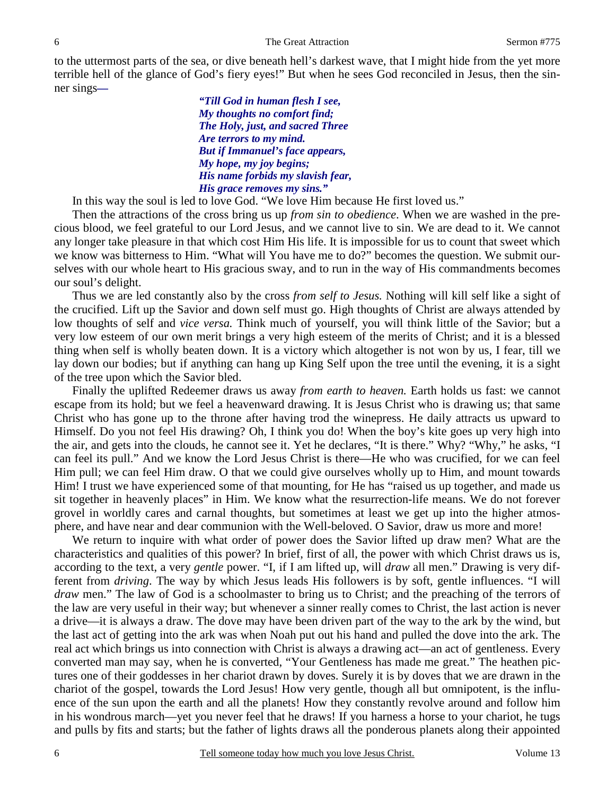to the uttermost parts of the sea, or dive beneath hell's darkest wave, that I might hide from the yet more terrible hell of the glance of God's fiery eyes!" But when he sees God reconciled in Jesus, then the sinner sings*—* 

> *"Till God in human flesh I see, My thoughts no comfort find; The Holy, just, and sacred Three Are terrors to my mind. But if Immanuel's face appears, My hope, my joy begins; His name forbids my slavish fear, His grace removes my sins."*

In this way the soul is led to love God. "We love Him because He first loved us."

 Then the attractions of the cross bring us up *from sin to obedience*. When we are washed in the precious blood, we feel grateful to our Lord Jesus, and we cannot live to sin. We are dead to it. We cannot any longer take pleasure in that which cost Him His life. It is impossible for us to count that sweet which we know was bitterness to Him. "What will You have me to do?" becomes the question. We submit ourselves with our whole heart to His gracious sway, and to run in the way of His commandments becomes our soul's delight.

 Thus we are led constantly also by the cross *from self to Jesus.* Nothing will kill self like a sight of the crucified. Lift up the Savior and down self must go. High thoughts of Christ are always attended by low thoughts of self and *vice versa.* Think much of yourself, you will think little of the Savior; but a very low esteem of our own merit brings a very high esteem of the merits of Christ; and it is a blessed thing when self is wholly beaten down. It is a victory which altogether is not won by us, I fear, till we lay down our bodies; but if anything can hang up King Self upon the tree until the evening, it is a sight of the tree upon which the Savior bled.

 Finally the uplifted Redeemer draws us away *from earth to heaven.* Earth holds us fast: we cannot escape from its hold; but we feel a heavenward drawing. It is Jesus Christ who is drawing us; that same Christ who has gone up to the throne after having trod the winepress. He daily attracts us upward to Himself. Do you not feel His drawing? Oh, I think you do! When the boy's kite goes up very high into the air, and gets into the clouds, he cannot see it. Yet he declares, "It is there." Why? "Why," he asks, "I can feel its pull." And we know the Lord Jesus Christ is there—He who was crucified, for we can feel Him pull; we can feel Him draw. O that we could give ourselves wholly up to Him, and mount towards Him! I trust we have experienced some of that mounting, for He has "raised us up together, and made us sit together in heavenly places" in Him. We know what the resurrection-life means. We do not forever grovel in worldly cares and carnal thoughts, but sometimes at least we get up into the higher atmosphere, and have near and dear communion with the Well-beloved. O Savior, draw us more and more!

 We return to inquire with what order of power does the Savior lifted up draw men? What are the characteristics and qualities of this power? In brief, first of all, the power with which Christ draws us is, according to the text, a very *gentle* power. "I, if I am lifted up, will *draw* all men." Drawing is very different from *driving*. The way by which Jesus leads His followers is by soft, gentle influences. "I will *draw* men." The law of God is a schoolmaster to bring us to Christ; and the preaching of the terrors of the law are very useful in their way; but whenever a sinner really comes to Christ, the last action is never a drive—it is always a draw. The dove may have been driven part of the way to the ark by the wind, but the last act of getting into the ark was when Noah put out his hand and pulled the dove into the ark. The real act which brings us into connection with Christ is always a drawing act—an act of gentleness. Every converted man may say, when he is converted, "Your Gentleness has made me great." The heathen pictures one of their goddesses in her chariot drawn by doves. Surely it is by doves that we are drawn in the chariot of the gospel, towards the Lord Jesus! How very gentle, though all but omnipotent, is the influence of the sun upon the earth and all the planets! How they constantly revolve around and follow him in his wondrous march—yet you never feel that he draws! If you harness a horse to your chariot, he tugs and pulls by fits and starts; but the father of lights draws all the ponderous planets along their appointed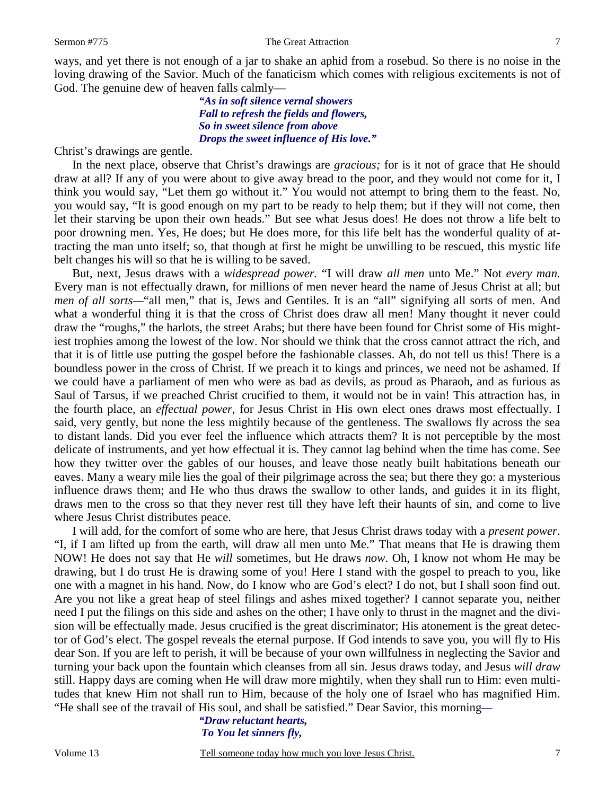ways, and yet there is not enough of a jar to shake an aphid from a rosebud. So there is no noise in the loving drawing of the Savior. Much of the fanaticism which comes with religious excitements is not of God. The genuine dew of heaven falls calmly—

#### *"As in soft silence vernal showers Fall to refresh the fields and flowers, So in sweet silence from above Drops the sweet influence of His love."*

Christ's drawings are gentle.

 In the next place, observe that Christ's drawings are *gracious;* for is it not of grace that He should draw at all? If any of you were about to give away bread to the poor, and they would not come for it, I think you would say, "Let them go without it." You would not attempt to bring them to the feast. No, you would say, "It is good enough on my part to be ready to help them; but if they will not come, then let their starving be upon their own heads." But see what Jesus does! He does not throw a life belt to poor drowning men. Yes, He does; but He does more, for this life belt has the wonderful quality of attracting the man unto itself; so, that though at first he might be unwilling to be rescued, this mystic life belt changes his will so that he is willing to be saved.

 But, next, Jesus draws with a *widespread power.* "I will draw *all men* unto Me." Not *every man.* Every man is not effectually drawn, for millions of men never heard the name of Jesus Christ at all; but *men of all sorts—*"all men," that is, Jews and Gentiles. It is an "all" signifying all sorts of men. And what a wonderful thing it is that the cross of Christ does draw all men! Many thought it never could draw the "roughs," the harlots, the street Arabs; but there have been found for Christ some of His mightiest trophies among the lowest of the low. Nor should we think that the cross cannot attract the rich, and that it is of little use putting the gospel before the fashionable classes. Ah, do not tell us this! There is a boundless power in the cross of Christ. If we preach it to kings and princes, we need not be ashamed. If we could have a parliament of men who were as bad as devils, as proud as Pharaoh, and as furious as Saul of Tarsus, if we preached Christ crucified to them, it would not be in vain! This attraction has, in the fourth place, an *effectual power*, for Jesus Christ in His own elect ones draws most effectually. I said, very gently, but none the less mightily because of the gentleness. The swallows fly across the sea to distant lands. Did you ever feel the influence which attracts them? It is not perceptible by the most delicate of instruments, and yet how effectual it is. They cannot lag behind when the time has come. See how they twitter over the gables of our houses, and leave those neatly built habitations beneath our eaves. Many a weary mile lies the goal of their pilgrimage across the sea; but there they go: a mysterious influence draws them; and He who thus draws the swallow to other lands, and guides it in its flight, draws men to the cross so that they never rest till they have left their haunts of sin, and come to live where Jesus Christ distributes peace.

 I will add, for the comfort of some who are here, that Jesus Christ draws today with a *present power*. "I, if I am lifted up from the earth, will draw all men unto Me." That means that He is drawing them NOW! He does not say that He *will* sometimes, but He draws *now*. Oh, I know not whom He may be drawing, but I do trust He is drawing some of you! Here I stand with the gospel to preach to you, like one with a magnet in his hand. Now, do I know who are God's elect? I do not, but I shall soon find out. Are you not like a great heap of steel filings and ashes mixed together? I cannot separate you, neither need I put the filings on this side and ashes on the other; I have only to thrust in the magnet and the division will be effectually made. Jesus crucified is the great discriminator; His atonement is the great detector of God's elect. The gospel reveals the eternal purpose. If God intends to save you, you will fly to His dear Son. If you are left to perish, it will be because of your own willfulness in neglecting the Savior and turning your back upon the fountain which cleanses from all sin. Jesus draws today, and Jesus *will draw*  still. Happy days are coming when He will draw more mightily, when they shall run to Him: even multitudes that knew Him not shall run to Him, because of the holy one of Israel who has magnified Him. "He shall see of the travail of His soul, and shall be satisfied." Dear Savior, this morning*—*

# *"Draw reluctant hearts, To You let sinners fly,*